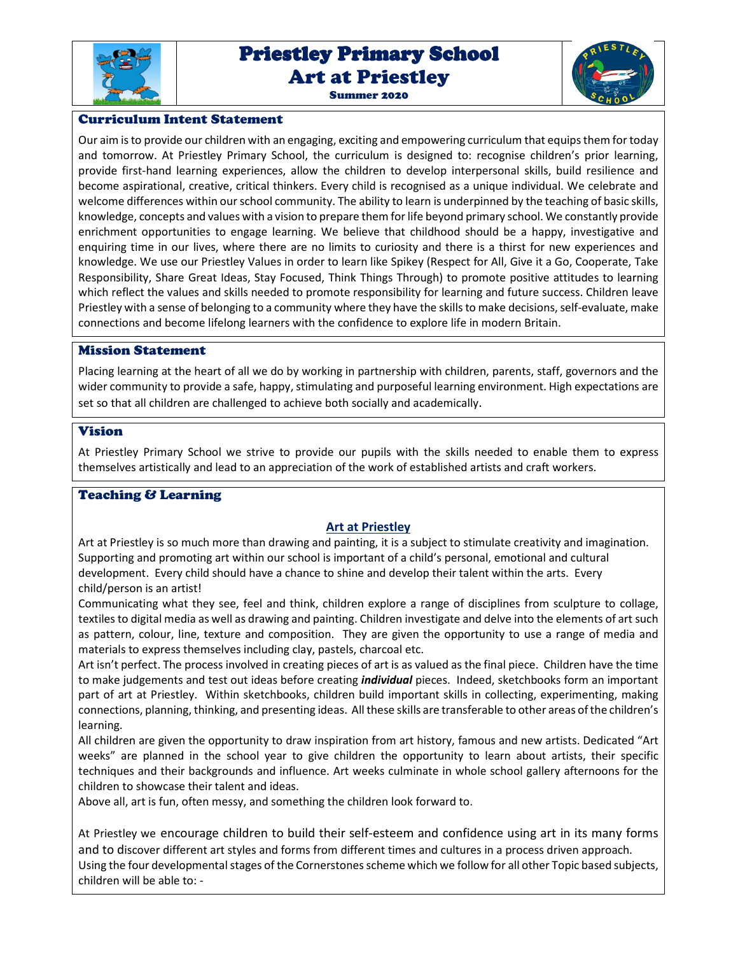

# Priestley Primary School Priestley Primary School Art at Priestley Summer 2020



## Curriculum Intent Statement

Our aim is to provide our children with an engaging, exciting and empowering curriculum that equips them for today and tomorrow. At Priestley Primary School, the curriculum is designed to: recognise children's prior learning, provide first-hand learning experiences, allow the children to develop interpersonal skills, build resilience and become aspirational, creative, critical thinkers. Every child is recognised as a unique individual. We celebrate and welcome differences within our school community. The ability to learn is underpinned by the teaching of basic skills, knowledge, concepts and values with a vision to prepare them for life beyond primary school. We constantly provide enrichment opportunities to engage learning. We believe that childhood should be a happy, investigative and enquiring time in our lives, where there are no limits to curiosity and there is a thirst for new experiences and knowledge. We use our Priestley Values in order to learn like Spikey (Respect for All, Give it a Go, Cooperate, Take Responsibility, Share Great Ideas, Stay Focused, Think Things Through) to promote positive attitudes to learning which reflect the values and skills needed to promote responsibility for learning and future success. Children leave Priestley with a sense of belonging to a community where they have the skills to make decisions, self-evaluate, make connections and become lifelong learners with the confidence to explore life in modern Britain.

## Mission Statement

Placing learning at the heart of all we do by working in partnership with children, parents, staff, governors and the wider community to provide a safe, happy, stimulating and purposeful learning environment. High expectations are set so that all children are challenged to achieve both socially and academically.

## Vision

At Priestley Primary School we strive to provide our pupils with the skills needed to enable them to express themselves artistically and lead to an appreciation of the work of established artists and craft workers.

# Teaching & Learning

## **Art at Priestley**

Art at Priestley is so much more than drawing and painting, it is a subject to stimulate creativity and imagination. Supporting and promoting art within our school is important of a child's personal, emotional and cultural development. Every child should have a chance to shine and develop their talent within the arts. Every child/person is an artist!

Communicating what they see, feel and think, children explore a range of disciplines from sculpture to collage, textiles to digital media as well as drawing and painting. Children investigate and delve into the elements of art such as pattern, colour, line, texture and composition. They are given the opportunity to use a range of media and materials to express themselves including clay, pastels, charcoal etc.

Art isn't perfect. The process involved in creating pieces of art is as valued as the final piece. Children have the time to make judgements and test out ideas before creating *individual* pieces. Indeed, sketchbooks form an important part of art at Priestley. Within sketchbooks, children build important skills in collecting, experimenting, making connections, planning, thinking, and presenting ideas. All these skills are transferable to other areas of the children's learning.

All children are given the opportunity to draw inspiration from art history, famous and new artists. Dedicated "Art weeks" are planned in the school year to give children the opportunity to learn about artists, their specific techniques and their backgrounds and influence. Art weeks culminate in whole school gallery afternoons for the children to showcase their talent and ideas.

Above all, art is fun, often messy, and something the children look forward to.

At Priestley we encourage children to build their self-esteem and confidence using art in its many forms and to discover different art styles and forms from different times and cultures in a process driven approach. Using the four developmental stages of the Cornerstones scheme which we follow for all other Topic based subjects, children will be able to: -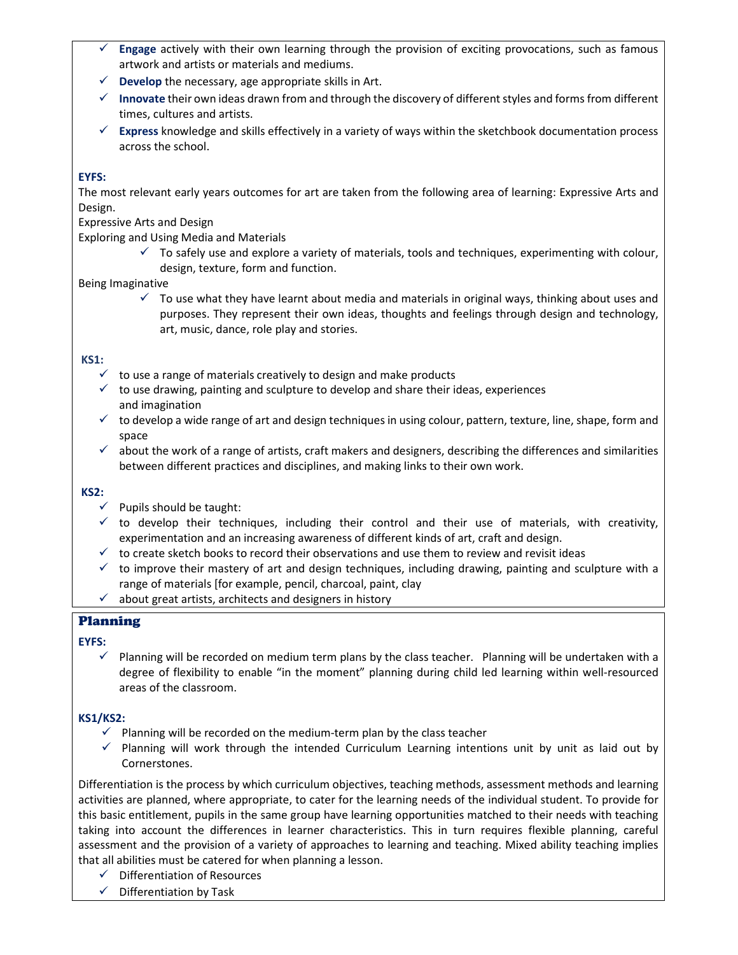- **Engage** actively with their own learning through the provision of exciting provocations, such as famous artwork and artists or materials and mediums.
- $\checkmark$  **Develop** the necessary, age appropriate skills in Art.
- **Innovate** their own ideas drawn from and through the discovery of different styles and forms from different times, cultures and artists.
- **Express** knowledge and skills effectively in a variety of ways within the sketchbook documentation process across the school.

# **EYFS:**

The most relevant early years outcomes for art are taken from the following area of learning: Expressive Arts and Design.

Expressive Arts and Design

Exploring and Using Media and Materials

 $\checkmark$  To safely use and explore a variety of materials, tools and techniques, experimenting with colour, design, texture, form and function.

## Being Imaginative

 $\checkmark$  To use what they have learnt about media and materials in original ways, thinking about uses and purposes. They represent their own ideas, thoughts and feelings through design and technology, art, music, dance, role play and stories.

## **KS1:**

- $\checkmark$  to use a range of materials creatively to design and make products
- $\checkmark$  to use drawing, painting and sculpture to develop and share their ideas, experiences and imagination
- $\checkmark$  to develop a wide range of art and design techniques in using colour, pattern, texture, line, shape, form and space
- $\checkmark$  about the work of a range of artists, craft makers and designers, describing the differences and similarities between different practices and disciplines, and making links to their own work.

#### **KS2:**

- $\checkmark$  Pupils should be taught:
- $\checkmark$  to develop their techniques, including their control and their use of materials, with creativity, experimentation and an increasing awareness of different kinds of art, craft and design.
- $\checkmark$  to create sketch books to record their observations and use them to review and revisit ideas
- $\checkmark$  to improve their mastery of art and design techniques, including drawing, painting and sculpture with a range of materials [for example, pencil, charcoal, paint, clay
- $\checkmark$  about great artists, architects and designers in history

## Planning

#### **EYFS:**

 $\checkmark$  Planning will be recorded on medium term plans by the class teacher. Planning will be undertaken with a degree of flexibility to enable "in the moment" planning during child led learning within well-resourced areas of the classroom.

## **KS1/KS2:**

- $\checkmark$  Planning will be recorded on the medium-term plan by the class teacher
- $\checkmark$  Planning will work through the intended Curriculum Learning intentions unit by unit as laid out by Cornerstones.

Differentiation is the process by which curriculum objectives, teaching methods, assessment methods and learning activities are planned, where appropriate, to cater for the learning needs of the individual student. To provide for this basic entitlement, pupils in the same group have learning opportunities matched to their needs with teaching taking into account the differences in learner characteristics. This in turn requires flexible planning, careful assessment and the provision of a variety of approaches to learning and teaching. Mixed ability teaching implies that all abilities must be catered for when planning a lesson.

- $\checkmark$  Differentiation of Resources
- $\checkmark$  Differentiation by Task